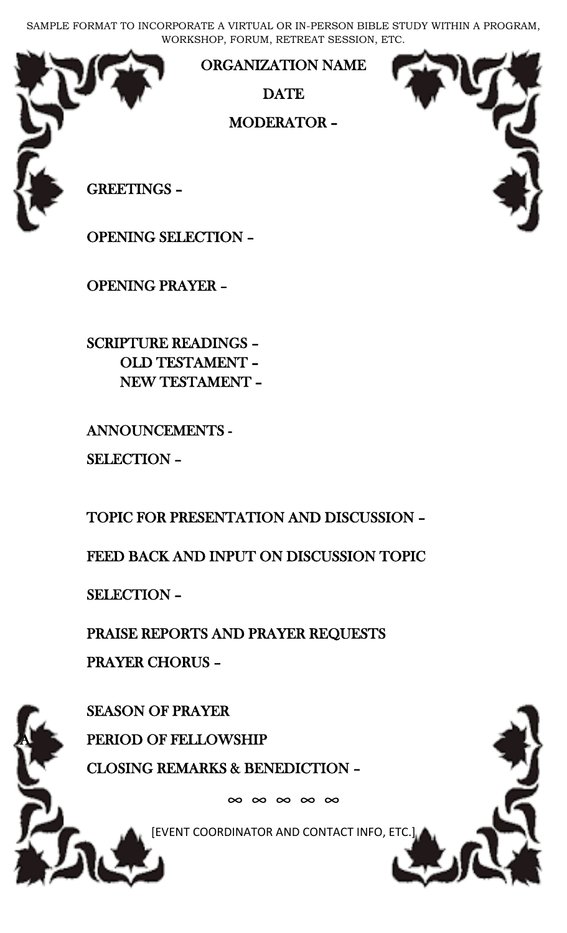SAMPLE FORMAT TO INCORPORATE A VIRTUAL OR IN-PERSON BIBLE STUDY WITHIN A PROGRAM, WORKSHOP, FORUM, RETREAT SESSION, ETC.



ORGANIZATION NAME

**DATE** 

MODERATOR –

GREETINGS –

OPENING SELECTION –

OPENING PRAYER –

 SCRIPTURE READINGS – OLD TESTAMENT – NEW TESTAMENT –

ANNOUNCEMENTS -

SELECTION –

TOPIC FOR PRESENTATION AND DISCUSSION –

FEED BACK AND INPUT ON DISCUSSION TOPIC

SELECTION –

 PRAISE REPORTS AND PRAYER REQUESTS PRAYER CHORUS –

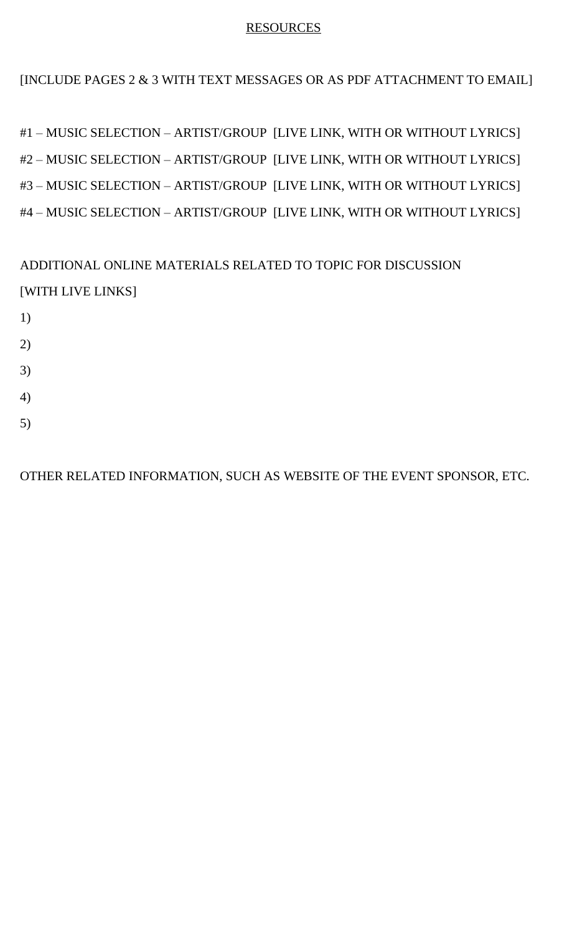## RESOURCES

[INCLUDE PAGES 2 & 3 WITH TEXT MESSAGES OR AS PDF ATTACHMENT TO EMAIL]

#1 – MUSIC SELECTION – ARTIST/GROUP [LIVE LINK, WITH OR WITHOUT LYRICS] #2 – MUSIC SELECTION – ARTIST/GROUP [LIVE LINK, WITH OR WITHOUT LYRICS] #3 – MUSIC SELECTION – ARTIST/GROUP [LIVE LINK, WITH OR WITHOUT LYRICS] #4 – MUSIC SELECTION – ARTIST/GROUP [LIVE LINK, WITH OR WITHOUT LYRICS]

ADDITIONAL ONLINE MATERIALS RELATED TO TOPIC FOR DISCUSSION [WITH LIVE LINKS]

- 1) 2)
- 3)
- 
- 4)
- 5)

OTHER RELATED INFORMATION, SUCH AS WEBSITE OF THE EVENT SPONSOR, ETC.